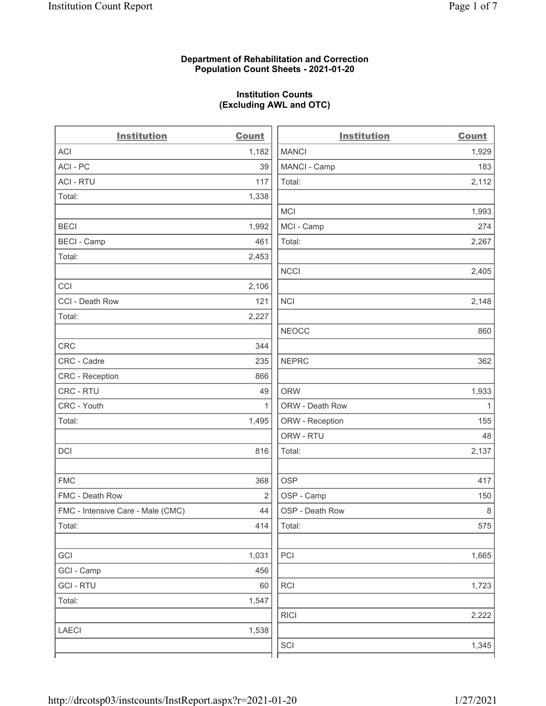# Department of Rehabilitation and Correction Population Count Sheets - 2021-01-20

# Institution Counts (Excluding AWL and OTC)

 $\overline{a}$ 

| <b>Institution</b>                | <b>Count</b> | <b>Institution</b> | <b>Count</b> |
|-----------------------------------|--------------|--------------------|--------------|
| ACI                               | 1,182        | <b>MANCI</b>       | 1,929        |
| ACI-PC                            | 39           | MANCI - Camp       | 183          |
| <b>ACI - RTU</b>                  | 117          | Total:             | 2,112        |
| Total:                            | 1,338        |                    |              |
|                                   |              | MCI                | 1,993        |
| <b>BECI</b>                       | 1,992        | MCI - Camp         | 274          |
| <b>BECI - Camp</b>                | 461          | Total:             | 2,267        |
| Total:                            | 2,453        |                    |              |
|                                   |              | <b>NCCI</b>        | 2,405        |
| CCI                               | 2,106        |                    |              |
| CCI - Death Row                   | 121          | <b>NCI</b>         | 2,148        |
| Total:                            | 2,227        |                    |              |
|                                   |              | <b>NEOCC</b>       | 860          |
| <b>CRC</b>                        | 344          |                    |              |
| CRC - Cadre                       | 235          | <b>NEPRC</b>       | 362          |
| CRC - Reception                   | 866          |                    |              |
| CRC - RTU                         | 49           | <b>ORW</b>         | 1,933        |
| CRC - Youth                       | $\mathbf{1}$ | ORW - Death Row    | $\mathbf{1}$ |
| Total:                            | 1,495        | ORW - Reception    | 155          |
|                                   |              | ORW - RTU          | 48           |
| DCI                               | 816          | Total:             | 2,137        |
| <b>FMC</b>                        | 368          | <b>OSP</b>         | 417          |
| FMC - Death Row                   | 2            | OSP - Camp         | 150          |
| FMC - Intensive Care - Male (CMC) | 44           | OSP - Death Row    | 8            |
| Total:                            | 414          | Total:             | 575          |
| GCI                               | 1,031        | PCI                | 1,665        |
| GCI - Camp                        | 456          |                    |              |
| <b>GCI-RTU</b>                    | 60           | RCI                | 1,723        |
| Total:                            | 1,547        |                    |              |
|                                   |              | <b>RICI</b>        | 2,222        |
| LAECI                             | 1,538        |                    |              |
|                                   |              | SCI                | 1,345        |
|                                   |              |                    |              |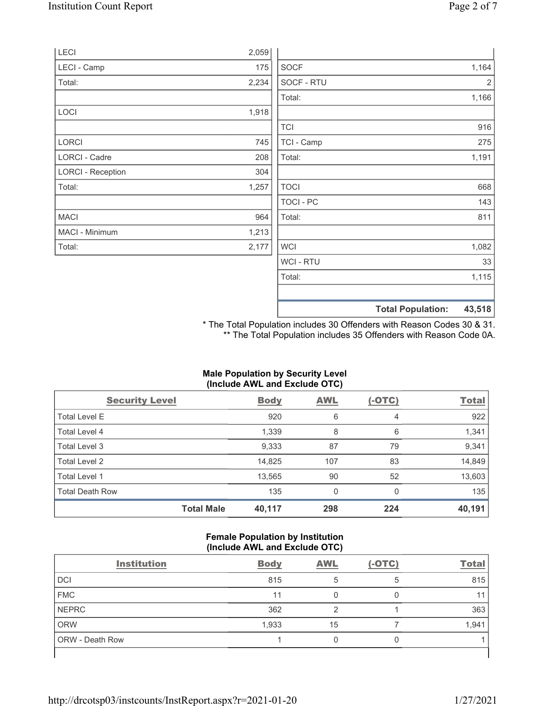|                          |       |             | <b>Total Population:</b> | 43,518         |
|--------------------------|-------|-------------|--------------------------|----------------|
|                          |       |             |                          |                |
|                          |       | Total:      |                          | 1,115          |
|                          |       | WCI - RTU   |                          | 33             |
| Total:                   | 2,177 | <b>WCI</b>  |                          | 1,082          |
| MACI - Minimum           | 1,213 |             |                          |                |
| <b>MACI</b>              | 964   | Total:      |                          | 811            |
|                          |       | TOCI - PC   |                          | 143            |
| Total:                   | 1,257 | <b>TOCI</b> |                          | 668            |
| <b>LORCI - Reception</b> | 304   |             |                          |                |
| LORCI - Cadre            | 208   | Total:      |                          | 1,191          |
| <b>LORCI</b>             | 745   | TCI - Camp  |                          | 275            |
|                          |       | <b>TCI</b>  |                          | 916            |
| LOCI                     | 1,918 |             |                          |                |
|                          |       | Total:      |                          | 1,166          |
| Total:                   | 2,234 | SOCF - RTU  |                          | $\overline{2}$ |
| LECI - Camp              | 175   | <b>SOCF</b> |                          | 1,164          |
| LECI                     | 2,059 |             |                          |                |

\* The Total Population includes 30 Offenders with Reason Codes 30 & 31. \*\* The Total Population includes 35 Offenders with Reason Code 0A.

# Male Population by Security Level (Include AWL and Exclude OTC)

| <b>Security Level</b>  |                   | <b>Body</b> | <b>AWL</b> | $(-OTC)$ | <b>Total</b> |
|------------------------|-------------------|-------------|------------|----------|--------------|
| <b>Total Level E</b>   |                   | 920         | 6          | 4        | 922          |
| Total Level 4          |                   | 1,339       | 8          | 6        | 1,341        |
| Total Level 3          |                   | 9,333       | 87         | 79       | 9,341        |
| Total Level 2          |                   | 14,825      | 107        | 83       | 14,849       |
| Total Level 1          |                   | 13,565      | 90         | 52       | 13,603       |
| <b>Total Death Row</b> |                   | 135         | 0          | $\Omega$ | 135          |
|                        | <b>Total Male</b> | 40,117      | 298        | 224      | 40,191       |

#### Female Population by Institution (Include AWL and Exclude OTC)

| <b>Institution</b> | <b>Body</b> | <b>AWL</b> | $(-OTC)$ | <b>Total</b> |
|--------------------|-------------|------------|----------|--------------|
| <b>DCI</b>         | 815         |            | 5        | 815          |
| <b>FMC</b>         | 11          |            |          |              |
| <b>NEPRC</b>       | 362         |            |          | 363          |
| <b>ORW</b>         | 1,933       | 15         |          | 1,941        |
| ORW - Death Row    |             |            |          |              |
|                    |             |            |          |              |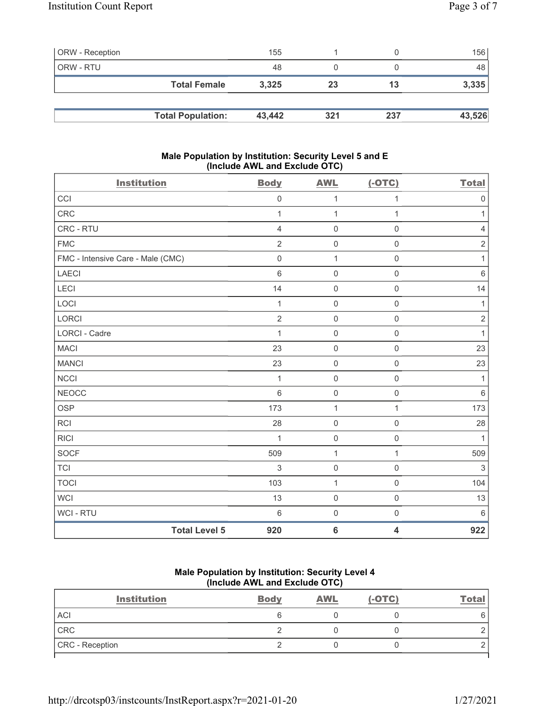| <b>ORW</b> - Reception |                          | 155    |     |     | 156    |
|------------------------|--------------------------|--------|-----|-----|--------|
| ORW - RTU              |                          | 48     |     |     | 48     |
|                        | <b>Total Female</b>      | 3,325  | 23  | 13  | 3,335  |
|                        |                          |        |     |     |        |
|                        | <b>Total Population:</b> | 43,442 | 321 | 237 | 43,526 |

# Male Population by Institution: Security Level 5 and E (Include AWL and Exclude OTC)

| <b>Institution</b>                | <b>Body</b>    | <b>AWL</b>          | $(-OTC)$            | <b>Total</b> |
|-----------------------------------|----------------|---------------------|---------------------|--------------|
| CCI                               | $\mathbf 0$    | 1                   | 1                   | $\mathbf 0$  |
| <b>CRC</b>                        | $\mathbf{1}$   | $\mathbf{1}$        | 1                   | 1            |
| CRC - RTU                         | 4              | $\mathsf{O}\xspace$ | $\boldsymbol{0}$    | 4            |
| <b>FMC</b>                        | $\overline{2}$ | $\mathbf 0$         | $\mathsf{O}\xspace$ | $\sqrt{2}$   |
| FMC - Intensive Care - Male (CMC) | $\mathbf 0$    | 1                   | $\mathsf{O}\xspace$ | $\mathbf{1}$ |
| <b>LAECI</b>                      | $6\phantom{1}$ | $\mathbf 0$         | $\mathsf{O}\xspace$ | $6\,$        |
| LECI                              | 14             | $\mathsf 0$         | $\mathsf{O}\xspace$ | 14           |
| LOCI                              | 1              | $\mathbf 0$         | $\mathbf 0$         | 1            |
| LORCI                             | $\overline{2}$ | $\mathsf{O}\xspace$ | $\mathsf{O}\xspace$ | $\sqrt{2}$   |
| <b>LORCI - Cadre</b>              | 1              | $\mathbf 0$         | $\mathbf 0$         | $\mathbf{1}$ |
| <b>MACI</b>                       | 23             | $\mathbf 0$         | $\mathsf{O}\xspace$ | 23           |
| <b>MANCI</b>                      | 23             | $\mathbf 0$         | $\mathsf{O}\xspace$ | 23           |
| <b>NCCI</b>                       | $\mathbf{1}$   | $\mathbf 0$         | $\mathsf{O}\xspace$ | 1            |
| <b>NEOCC</b>                      | $\,6\,$        | $\mathsf{O}\xspace$ | $\mathsf{O}\xspace$ | $\,6\,$      |
| <b>OSP</b>                        | 173            | $\mathbf{1}$        | 1                   | 173          |
| <b>RCI</b>                        | 28             | $\mathbf 0$         | $\mathsf{O}\xspace$ | 28           |
| <b>RICI</b>                       | 1              | $\mathbf 0$         | $\mathsf{O}\xspace$ | 1            |
| <b>SOCF</b>                       | 509            | $\mathbf{1}$        | $\mathbf{1}$        | 509          |
| <b>TCI</b>                        | 3              | $\mathbf 0$         | $\mathsf{O}\xspace$ | $\sqrt{3}$   |
| <b>TOCI</b>                       | 103            | $\mathbf{1}$        | $\mathsf{O}\xspace$ | 104          |
| <b>WCI</b>                        | 13             | $\mathbf 0$         | $\mathsf{O}\xspace$ | 13           |
| WCI - RTU                         | $\,6\,$        | $\mathbf 0$         | $\mathsf{O}\xspace$ | $\,6\,$      |
| <b>Total Level 5</b>              | 920            | $\bf 6$             | 4                   | 922          |

# Male Population by Institution: Security Level 4 (Include AWL and Exclude OTC)

| <b>Institution</b> | <b>Body</b> | <b>AWL</b> | $(-OTC)$ | <b>Total</b> |
|--------------------|-------------|------------|----------|--------------|
| <b>ACI</b>         |             |            |          | 6            |
| CRC                |             |            |          |              |
| CRC - Reception    |             |            |          |              |
|                    |             |            |          |              |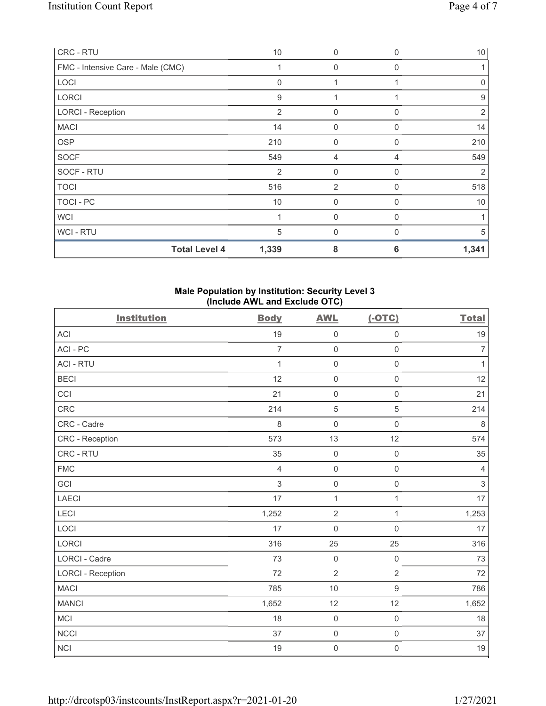| CRC - RTU                         | 10             | $\mathbf{0}$   | $\Omega$ | 10           |
|-----------------------------------|----------------|----------------|----------|--------------|
| FMC - Intensive Care - Male (CMC) |                | 0              | 0        |              |
| LOCI                              | $\Omega$       | 1              |          | $\mathbf{0}$ |
| <b>LORCI</b>                      | 9              |                |          | 9            |
| <b>LORCI - Reception</b>          | $\overline{2}$ | $\mathbf 0$    | 0        | 2            |
| <b>MACI</b>                       | 14             | $\mathbf{0}$   | 0        | 14           |
| <b>OSP</b>                        | 210            | $\mathbf{0}$   | 0        | 210          |
| <b>SOCF</b>                       | 549            | 4              | 4        | 549          |
| SOCF - RTU                        | 2              | $\mathbf{0}$   | $\Omega$ | 2            |
| <b>TOCI</b>                       | 516            | $\overline{2}$ | 0        | 518          |
| TOCI - PC                         | 10             | $\mathbf{0}$   | 0        | 10           |
| <b>WCI</b>                        |                | $\mathbf{0}$   | $\Omega$ |              |
| <b>WCI-RTU</b>                    | 5              | $\mathbf 0$    | 0        | 5            |
| <b>Total Level 4</b>              | 1,339          | 8              | 6        | 1,341        |

# Male Population by Institution: Security Level 3 (Include AWL and Exclude OTC)

| <b>Institution</b>       | <b>Body</b>    | <b>AWL</b>     | $(-OTC)$            | <b>Total</b>   |
|--------------------------|----------------|----------------|---------------------|----------------|
| <b>ACI</b>               | 19             | $\mathbf 0$    | $\mathsf{O}\xspace$ | 19             |
| ACI-PC                   | $\overline{7}$ | $\mathbf 0$    | $\mathsf{O}\xspace$ | $\overline{7}$ |
| <b>ACI - RTU</b>         | $\mathbf{1}$   | $\mathbf 0$    | $\mathsf{O}\xspace$ | $\mathbf{1}$   |
| <b>BECI</b>              | 12             | $\mathbf 0$    | $\mathsf 0$         | 12             |
| CCI                      | 21             | $\mathbf 0$    | $\mathsf{O}\xspace$ | 21             |
| CRC                      | 214            | $\sqrt{5}$     | $\sqrt{5}$          | 214            |
| CRC - Cadre              | 8              | $\mathbf 0$    | $\mathsf{O}\xspace$ | $\,8\,$        |
| CRC - Reception          | 573            | 13             | 12                  | 574            |
| CRC - RTU                | 35             | $\mathbf 0$    | $\mathsf 0$         | 35             |
| <b>FMC</b>               | 4              | $\mathbf 0$    | $\mathsf 0$         | $\overline{4}$ |
| GCI                      | 3              | $\mathbf 0$    | $\mathsf{O}\xspace$ | $\mathfrak{S}$ |
| <b>LAECI</b>             | 17             | $\mathbf{1}$   | $\mathbf{1}$        | 17             |
| LECI                     | 1,252          | $\overline{2}$ | $\mathbf{1}$        | 1,253          |
| LOCI                     | 17             | $\mathbf 0$    | $\mathsf 0$         | 17             |
| <b>LORCI</b>             | 316            | 25             | 25                  | 316            |
| <b>LORCI - Cadre</b>     | 73             | $\mathbf 0$    | $\mathsf{O}\xspace$ | 73             |
| <b>LORCI - Reception</b> | 72             | $\overline{2}$ | $\overline{2}$      | 72             |
| <b>MACI</b>              | 785            | 10             | $\boldsymbol{9}$    | 786            |
| <b>MANCI</b>             | 1,652          | 12             | 12                  | 1,652          |
| <b>MCI</b>               | 18             | $\mathbf 0$    | $\mathsf 0$         | 18             |
| <b>NCCI</b>              | 37             | $\mathbf 0$    | $\mathsf 0$         | 37             |
| <b>NCI</b>               | 19             | $\mathbf 0$    | $\mathsf 0$         | 19             |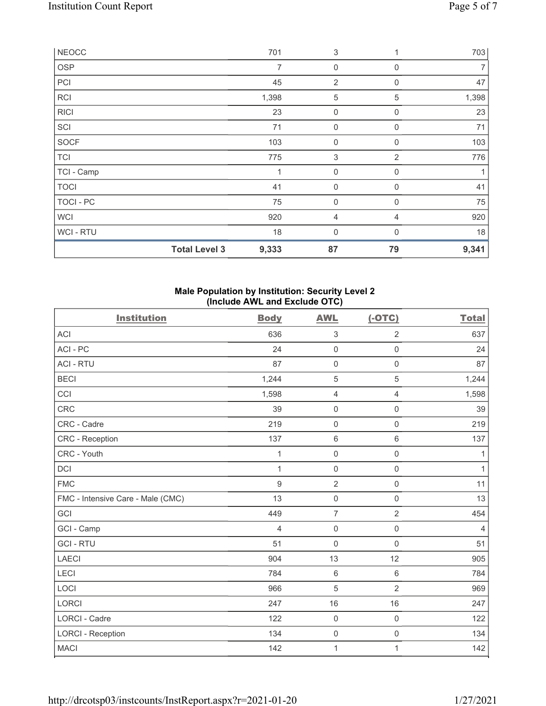| <b>NEOCC</b> |                      | 701          | 3                   |                | 703   |
|--------------|----------------------|--------------|---------------------|----------------|-------|
| <b>OSP</b>   |                      | 7            | 0                   | $\mathbf 0$    |       |
| PCI          |                      | 45           | $\overline{2}$      | 0              | 47    |
| <b>RCI</b>   |                      | 1,398        | 5                   | 5              | 1,398 |
| <b>RICI</b>  |                      | 23           | $\boldsymbol{0}$    | $\mathbf 0$    | 23    |
| SCI          |                      | 71           | $\mathsf{O}\xspace$ | $\mathbf 0$    | 71    |
| SOCF         |                      | 103          | $\boldsymbol{0}$    | 0              | 103   |
| <b>TCI</b>   |                      | 775          | $\sqrt{3}$          | $\overline{2}$ | 776   |
| TCI - Camp   |                      | $\mathbf{1}$ | 0                   | $\mathbf 0$    |       |
| <b>TOCI</b>  |                      | 41           | $\mathsf{O}\xspace$ | 0              | 41    |
| TOCI - PC    |                      | 75           | $\mathbf 0$         | $\mathbf 0$    | 75    |
| <b>WCI</b>   |                      | 920          | 4                   | $\overline{4}$ | 920   |
| WCI - RTU    |                      | 18           | 0                   | $\Omega$       | 18    |
|              | <b>Total Level 3</b> | 9,333        | 87                  | 79             | 9,341 |

# Male Population by Institution: Security Level 2 (Include AWL and Exclude OTC)

| <b>Institution</b>                | <b>Body</b>    | <b>AWL</b>          | $(-OTC)$            | <b>Total</b>   |
|-----------------------------------|----------------|---------------------|---------------------|----------------|
| <b>ACI</b>                        | 636            | $\sqrt{3}$          | $\overline{2}$      | 637            |
| ACI - PC                          | 24             | $\mathsf 0$         | $\mathsf 0$         | 24             |
| <b>ACI - RTU</b>                  | 87             | $\mathsf 0$         | $\mathsf 0$         | 87             |
| <b>BECI</b>                       | 1,244          | $\mathbf 5$         | 5                   | 1,244          |
| CCI                               | 1,598          | $\overline{4}$      | $\overline{4}$      | 1,598          |
| <b>CRC</b>                        | 39             | $\mathbf 0$         | $\mathsf 0$         | 39             |
| CRC - Cadre                       | 219            | $\mathbf 0$         | $\mathsf 0$         | 219            |
| CRC - Reception                   | 137            | $\,6\,$             | $\,6\,$             | 137            |
| CRC - Youth                       | 1              | $\mathbf 0$         | $\mathsf{O}\xspace$ | 1              |
| DCI                               | $\mathbf{1}$   | $\mathbf 0$         | $\mathbf 0$         | $\mathbf{1}$   |
| <b>FMC</b>                        | $\overline{9}$ | $\overline{2}$      | $\mathsf 0$         | 11             |
| FMC - Intensive Care - Male (CMC) | 13             | $\mathsf{O}\xspace$ | $\mathbf 0$         | 13             |
| GCI                               | 449            | $\overline{7}$      | $\overline{2}$      | 454            |
| GCI - Camp                        | 4              | $\mathsf 0$         | $\mathbf 0$         | $\overline{4}$ |
| <b>GCI-RTU</b>                    | 51             | $\mathbf 0$         | $\mathbf 0$         | 51             |
| <b>LAECI</b>                      | 904            | 13                  | 12                  | 905            |
| LECI                              | 784            | $\,6\,$             | $\,6\,$             | 784            |
| LOCI                              | 966            | 5                   | $\overline{2}$      | 969            |
| <b>LORCI</b>                      | 247            | 16                  | 16                  | 247            |
| LORCI - Cadre                     | 122            | $\mathbf 0$         | $\mathsf 0$         | 122            |
| <b>LORCI - Reception</b>          | 134            | $\mathsf{O}\xspace$ | $\mathsf 0$         | 134            |
| <b>MACI</b>                       | 142            | $\mathbf 1$         | 1                   | 142            |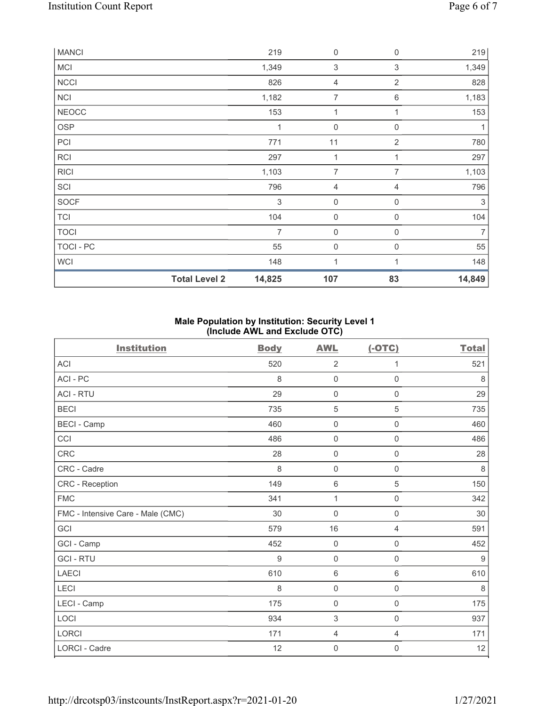|              | <b>Total Level 2</b> | 14,825 | 107                 | 83             | 14,849         |
|--------------|----------------------|--------|---------------------|----------------|----------------|
| <b>WCI</b>   |                      | 148    | 1                   | 1              | 148            |
| TOCI - PC    |                      | 55     | 0                   | 0              | 55             |
| <b>TOCI</b>  |                      | 7      | $\boldsymbol{0}$    | 0              | $\overline{7}$ |
| <b>TCI</b>   |                      | 104    | $\boldsymbol{0}$    | 0              | 104            |
| <b>SOCF</b>  |                      | 3      | $\mathsf{O}\xspace$ | $\mathbf 0$    | 3              |
| SCI          |                      | 796    | 4                   | 4              | 796            |
| <b>RICI</b>  |                      | 1,103  | 7                   | 7              | 1,103          |
| <b>RCI</b>   |                      | 297    | 1                   | 1              | 297            |
| PCI          |                      | 771    | 11                  | $\overline{2}$ | 780            |
| <b>OSP</b>   |                      | 1      | $\mathbf 0$         | 0              | 1              |
| <b>NEOCC</b> |                      | 153    | 1                   | 1              | 153            |
| NCI          |                      | 1,182  | 7                   | $\,6\,$        | 1,183          |
| <b>NCCI</b>  |                      | 826    | 4                   | 2              | 828            |
| <b>MCI</b>   |                      | 1,349  | $\,$ 3 $\,$         | 3              | 1,349          |
| <b>MANCI</b> |                      | 219    | 0                   | 0              | 219            |

# Male Population by Institution: Security Level 1 (Include AWL and Exclude OTC)

| <b>Institution</b>                | <b>Body</b> | <b>AWL</b>          | $(-OTC)$            | <b>Total</b> |
|-----------------------------------|-------------|---------------------|---------------------|--------------|
| <b>ACI</b>                        | 520         | 2                   | 1                   | 521          |
| ACI-PC                            | 8           | $\mathbf 0$         | $\mathsf{O}\xspace$ | 8            |
| <b>ACI - RTU</b>                  | 29          | $\mathbf 0$         | 0                   | 29           |
| <b>BECI</b>                       | 735         | $\sqrt{5}$          | $\sqrt{5}$          | 735          |
| <b>BECI - Camp</b>                | 460         | $\mathsf 0$         | $\mathsf 0$         | 460          |
| CCI                               | 486         | $\mathsf{O}\xspace$ | $\mathsf 0$         | 486          |
| CRC                               | 28          | $\mathsf{O}\xspace$ | $\mathsf 0$         | 28           |
| CRC - Cadre                       | 8           | $\mathsf{O}\xspace$ | $\mathsf 0$         | 8            |
| CRC - Reception                   | 149         | $\,6\,$             | $\mathbf 5$         | 150          |
| <b>FMC</b>                        | 341         | $\mathbf{1}$        | $\mathsf 0$         | 342          |
| FMC - Intensive Care - Male (CMC) | 30          | $\mathsf{O}\xspace$ | $\mathsf 0$         | 30           |
| GCI                               | 579         | 16                  | 4                   | 591          |
| GCI - Camp                        | 452         | $\mathsf{O}\xspace$ | $\mathsf{O}\xspace$ | 452          |
| <b>GCI-RTU</b>                    | 9           | $\mathsf{O}\xspace$ | $\mathsf{O}\xspace$ | 9            |
| LAECI                             | 610         | $\,6\,$             | $\,6\,$             | 610          |
| LECI                              | 8           | $\mathsf{O}\xspace$ | $\mathsf{O}\xspace$ | $\,8\,$      |
| LECI - Camp                       | 175         | $\mathsf{O}\xspace$ | $\mathsf 0$         | 175          |
| LOCI                              | 934         | 3                   | $\mathsf 0$         | 937          |
| <b>LORCI</b>                      | 171         | $\overline{4}$      | $\overline{4}$      | 171          |
| <b>LORCI - Cadre</b>              | 12          | $\mathbf 0$         | 0                   | 12           |